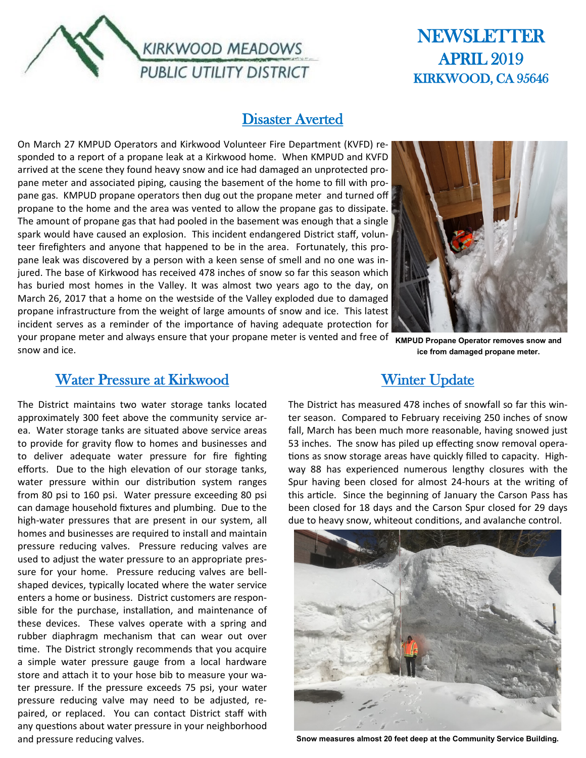

# **NEWSLETTER** APRIL 2019 KIRKWOOD, CA 95646

#### Disaster Averted

On March 27 KMPUD Operators and Kirkwood Volunteer Fire Department (KVFD) responded to a report of a propane leak at a Kirkwood home. When KMPUD and KVFD arrived at the scene they found heavy snow and ice had damaged an unprotected propane meter and associated piping, causing the basement of the home to fill with propane gas. KMPUD propane operators then dug out the propane meter and turned off propane to the home and the area was vented to allow the propane gas to dissipate. The amount of propane gas that had pooled in the basement was enough that a single spark would have caused an explosion. This incident endangered District staff, volunteer firefighters and anyone that happened to be in the area. Fortunately, this propane leak was discovered by a person with a keen sense of smell and no one was injured. The base of Kirkwood has received 478 inches of snow so far this season which has buried most homes in the Valley. It was almost two years ago to the day, on March 26, 2017 that a home on the westside of the Valley exploded due to damaged propane infrastructure from the weight of large amounts of snow and ice. This latest incident serves as a reminder of the importance of having adequate protection for your propane meter and always ensure that your propane meter is vented and free of **KMPUD Propane Operator removes snow and** 



**ice from damaged propane meter.**

#### Water Pressure at Kirkwood

snow and ice.

The District maintains two water storage tanks located approximately 300 feet above the community service area. Water storage tanks are situated above service areas to provide for gravity flow to homes and businesses and to deliver adequate water pressure for fire fighting efforts. Due to the high elevation of our storage tanks, water pressure within our distribution system ranges from 80 psi to 160 psi. Water pressure exceeding 80 psi can damage household fixtures and plumbing. Due to the high-water pressures that are present in our system, all homes and businesses are required to install and maintain pressure reducing valves. Pressure reducing valves are used to adjust the water pressure to an appropriate pressure for your home. Pressure reducing valves are bellshaped devices, typically located where the water service enters a home or business. District customers are responsible for the purchase, installation, and maintenance of these devices. These valves operate with a spring and rubber diaphragm mechanism that can wear out over time. The District strongly recommends that you acquire a simple water pressure gauge from a local hardware store and attach it to your hose bib to measure your water pressure. If the pressure exceeds 75 psi, your water pressure reducing valve may need to be adjusted, repaired, or replaced. You can contact District staff with any questions about water pressure in your neighborhood and pressure reducing valves.

Winter Update

The District has measured 478 inches of snowfall so far this winter season. Compared to February receiving 250 inches of snow fall, March has been much more reasonable, having snowed just 53 inches. The snow has piled up effecting snow removal operations as snow storage areas have quickly filled to capacity. Highway 88 has experienced numerous lengthy closures with the Spur having been closed for almost 24-hours at the writing of this article. Since the beginning of January the Carson Pass has been closed for 18 days and the Carson Spur closed for 29 days due to heavy snow, whiteout conditions, and avalanche control.



**Snow measures almost 20 feet deep at the Community Service Building.**